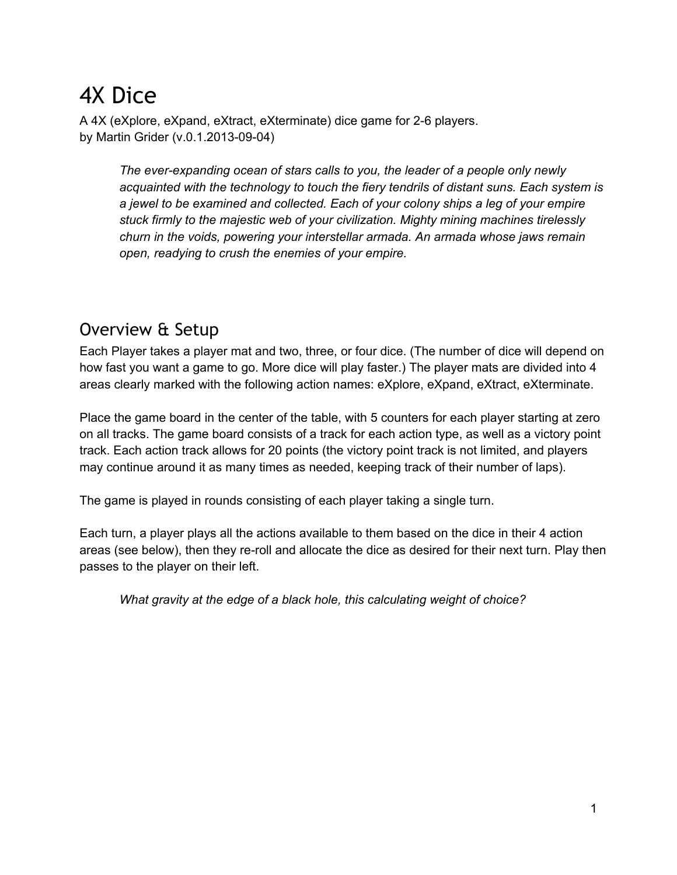# 4X Dice

A 4X (eXplore, eXpand, eXtract, eXterminate) dice game for 2-6 players. by Martin Grider (v.0.1.2013-09-04)

> *The everexpanding ocean of stars calls to you, the leader of a people only newly acquainted with the technology to touch the fiery tendrils of distant suns. Each system is a jewel to be examined and collected. Each of your colony ships a leg of your empire stuck firmly to the majestic web of your civilization. Mighty mining machines tirelessly churn in the voids, powering your interstellar armada. An armada whose jaws remain open, readying to crush the enemies of your empire.*

#### Overview & Setup

Each Player takes a player mat and two, three, or four dice. (The number of dice will depend on how fast you want a game to go. More dice will play faster.) The player mats are divided into 4 areas clearly marked with the following action names: eXplore, eXpand, eXtract, eXterminate.

Place the game board in the center of the table, with 5 counters for each player starting at zero on all tracks. The game board consists of a track for each action type, as well as a victory point track. Each action track allows for 20 points (the victory point track is not limited, and players may continue around it as many times as needed, keeping track of their number of laps).

The game is played in rounds consisting of each player taking a single turn.

Each turn, a player plays all the actions available to them based on the dice in their 4 action areas (see below), then they re-roll and allocate the dice as desired for their next turn. Play then passes to the player on their left.

*What gravity at the edge of a black hole, this calculating weight of choice?*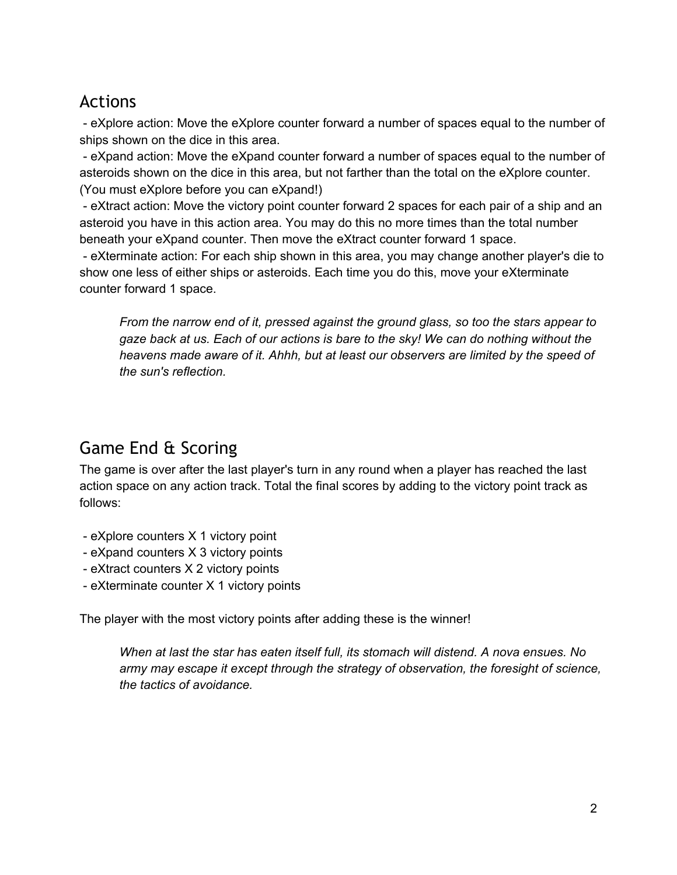#### Actions

 eXplore action: Move the eXplore counter forward a number of spaces equal to the number of ships shown on the dice in this area.

 eXpand action: Move the eXpand counter forward a number of spaces equal to the number of asteroids shown on the dice in this area, but not farther than the total on the eXplore counter. (You must eXplore before you can eXpand!)

 eXtract action: Move the victory point counter forward 2 spaces for each pair of a ship and an asteroid you have in this action area. You may do this no more times than the total number beneath your eXpand counter. Then move the eXtract counter forward 1 space.

 eXterminate action: For each ship shown in this area, you may change another player's die to show one less of either ships or asteroids. Each time you do this, move your eXterminate counter forward 1 space.

*From the narrow end of it, pressed against the ground glass, so too the stars appear to gaze back at us. Each of our actions is bare to the sky! We can do nothing without the heavens made aware of it. Ahhh, but at least our observers are limited by the speed of the sun's reflection.*

## Game End & Scoring

The game is over after the last player's turn in any round when a player has reached the last action space on any action track. Total the final scores by adding to the victory point track as follows:

- eXplore counters X 1 victory point
- eXpand counters X 3 victory points
- eXtract counters X 2 victory points
- eXterminate counter X 1 victory points

The player with the most victory points after adding these is the winner!

*When at last the star has eaten itself full, its stomach will distend. A nova ensues. No army may escape it except through the strategy of observation, the foresight of science, the tactics of avoidance.*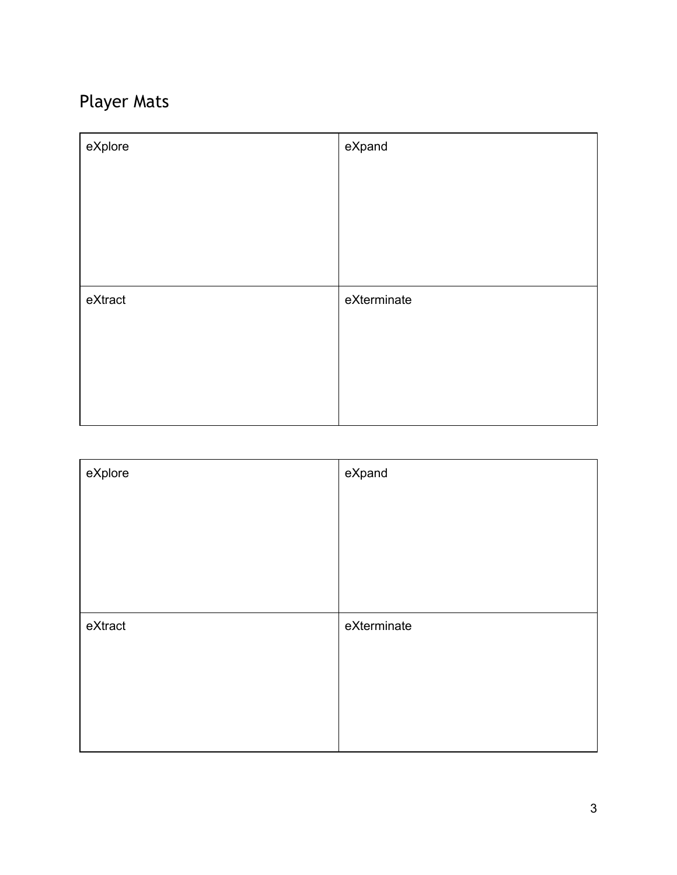## Player Mats

| eXplore | eXpand      |
|---------|-------------|
|         |             |
|         |             |
|         |             |
|         |             |
| eXtract | eXterminate |
|         |             |
|         |             |
|         |             |
|         |             |

| eXplore | eXpand      |
|---------|-------------|
|         |             |
|         |             |
|         |             |
|         |             |
| eXtract | eXterminate |
|         |             |
|         |             |
|         |             |
|         |             |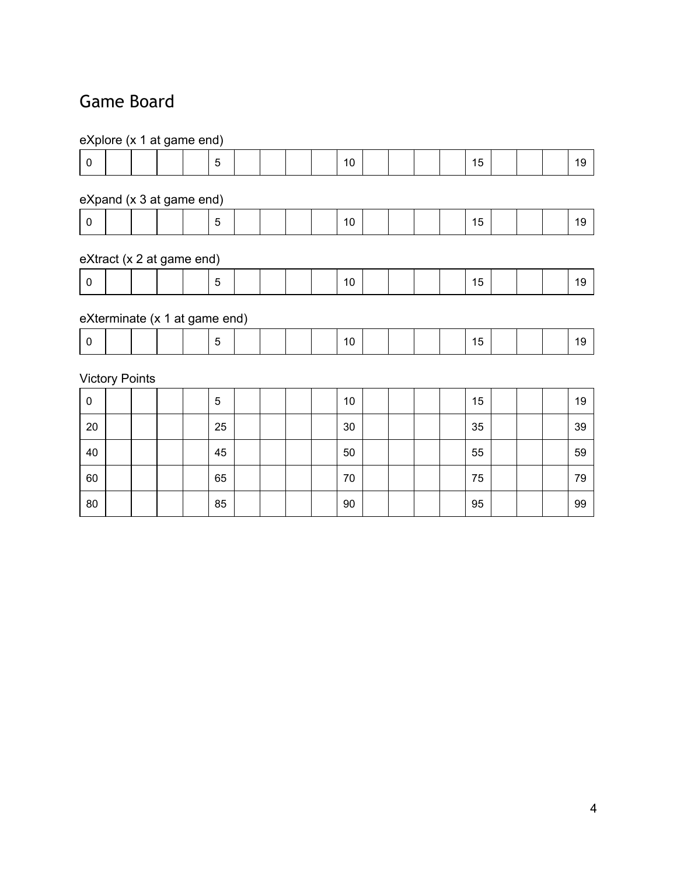### Game Board

| eXplore (x 1 at game end) |                               |  |  |  |    |  |  |  |  |    |  |  |  |    |  |    |
|---------------------------|-------------------------------|--|--|--|----|--|--|--|--|----|--|--|--|----|--|----|
| $\mathbf 0$               |                               |  |  |  | 5  |  |  |  |  | 10 |  |  |  | 15 |  | 19 |
|                           | eXpand (x 3 at game end)      |  |  |  |    |  |  |  |  |    |  |  |  |    |  |    |
| $\pmb{0}$                 |                               |  |  |  | 5  |  |  |  |  | 10 |  |  |  | 15 |  | 19 |
|                           | eXtract (x 2 at game end)     |  |  |  |    |  |  |  |  |    |  |  |  |    |  |    |
| $\pmb{0}$                 |                               |  |  |  | 5  |  |  |  |  | 10 |  |  |  | 15 |  | 19 |
|                           | eXterminate (x 1 at game end) |  |  |  |    |  |  |  |  |    |  |  |  |    |  |    |
| $\mathbf 0$               |                               |  |  |  | 5  |  |  |  |  | 10 |  |  |  | 15 |  | 19 |
|                           | <b>Victory Points</b>         |  |  |  |    |  |  |  |  |    |  |  |  |    |  |    |
| $\pmb{0}$                 |                               |  |  |  | 5  |  |  |  |  | 10 |  |  |  | 15 |  | 19 |
| 20                        |                               |  |  |  | 25 |  |  |  |  | 30 |  |  |  | 35 |  | 39 |
| 40                        |                               |  |  |  | 45 |  |  |  |  | 50 |  |  |  | 55 |  | 59 |
| 60                        |                               |  |  |  | 65 |  |  |  |  | 70 |  |  |  | 75 |  | 79 |
| 80                        |                               |  |  |  | 85 |  |  |  |  | 90 |  |  |  | 95 |  | 99 |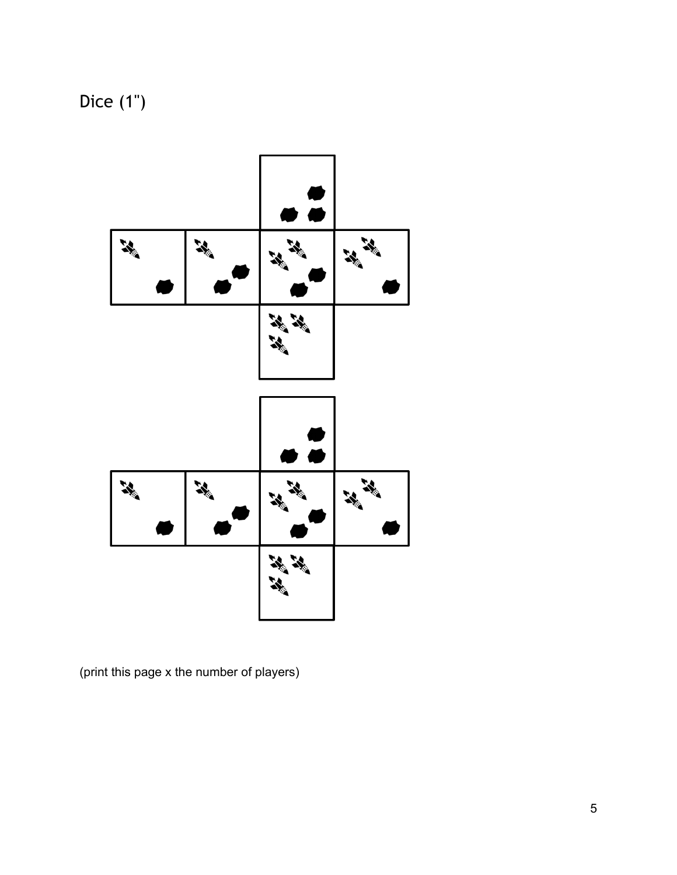Dice (1")



(print this page x the number of players)